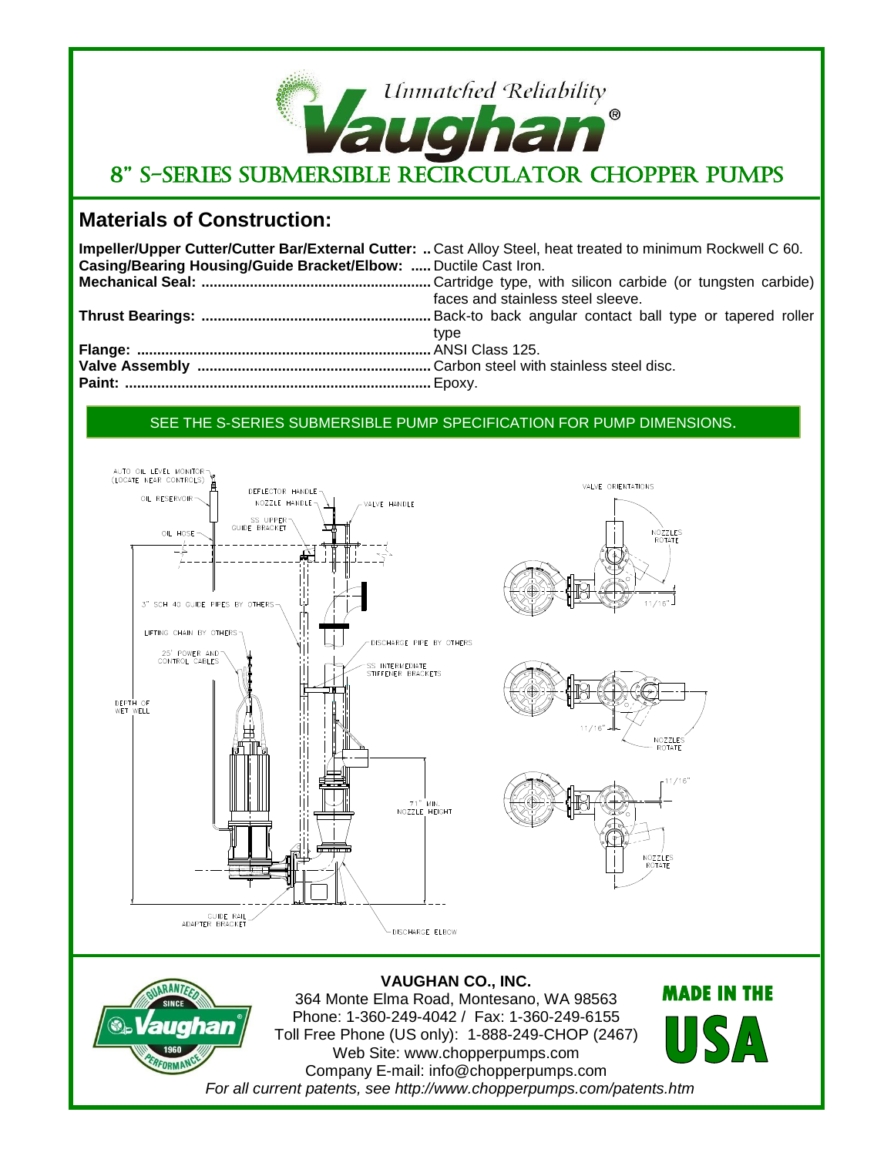# Unmatched Reliability 8" S-Series Submersible Recirculator Chopper Pumps

# **Materials of Construction:**

**Impeller/Upper Cutter/Cutter Bar/External Cutter: ..** Cast Alloy Steel, heat treated to minimum Rockwell C 60. **Casing/Bearing Housing/Guide Bracket/Elbow: .....** Ductile Cast Iron. **Mechanical Seal: .........................................................** Cartridge type, with silicon carbide (or tungsten carbide) faces and stainless steel sleeve. **Thrust Bearings: .........................................................** Back-to back angular contact ball type or tapered roller type **Flange: .........................................................................** ANSI Class 125. **Valve Assembly ..........................................................** Carbon steel with stainless steel disc. **Paint: ............................................................................** Epoxy.

## SEE THE S-SERIES SUBMERSIBLE PUMP SPECIFICATION FOR PUMP DIMENSIONS.





**VAUGHAN CO., INC.** 364 Monte Elma Road, Montesano, WA 98563 Phone: 1-360-249-4042 / Fax: 1-360-249-6155 Toll Free Phone (US only): 1-888-249-CHOP (2467) Web Site: www.chopperpumps.com Company E-mail: info@chopperpumps.com *For all current patents, see http://www.chopperpumps.com/patents.htm*